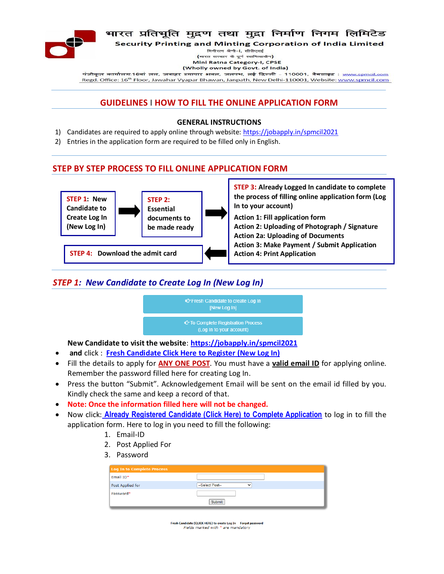

## भारत प्रतिभूति मुद्रण तथा मुद्रा निर्माण निगम लिमिटेड

**Security Printing and Minting Corporation of India Limited** 

मिनीरत्न श्रेणी-1. सीपीएसई (भारत सरकार के पर्ण स्वामित्वाधीन) Mini Ratna Category-I, CPSE (Wholly owned by Govt. of India)

पंजीकृत कार्यालय:16वां तल, जवाहर व्यापार भवल, जलपथ, लई दिल्ली - 110001, वैबसाइट : <u>www.spmcil.com</u> Regd. Office: 16<sup>th</sup> Floor, Jawahar Vyapar Bhawan, Janpath, New Delhi-110001, Website: www.spmcil.com

# **GUIDELINES I HOW TO FILL THE ONLINE APPLICATION FORM**

#### **GENERAL INSTRUCTIONS**

- 1) Candidates are required to apply online through website: https://jobapply.in/spmcil2021
- 2) Entries in the application form are required to be filled only in English.

## **STEP BY STEP PROCESS TO FILL ONLINE APPLICATION FORM**



# *STEP 1: New Candidate to Create Log In (New Log In)*



**New Candidate to visit the website**: **https://jobapply.in/spmcil2021**

- **and** click : **Fresh Candidate Click Here to Register (New Log In)**
- Fill the details to apply for **ANY ONE POST**. You must have a **valid email ID** for applying online. Remember the password filled here for creating Log In.
- Press the button "Submit". Acknowledgement Email will be sent on the email id filled by you. Kindly check the same and keep a record of that.
- **Note: Once the information filled here will not be changed.**
- Now click: **Already Registered Candidate (Click Here) to Complete Application** to log in to fill the application form. Here to log in you need to fill the following:
	- 1. Email-ID
	- 2. Post Applied For
	- 3. Password

| Log In to Complete Process |                                 |
|----------------------------|---------------------------------|
| Email ID*                  |                                 |
| Post Applied for           | --Select Post--<br>$\checkmark$ |
| Password*                  |                                 |
|                            | Submit                          |

Fresh Candidate (CLICK HERE) to create Log In Forgot password Fields marked with \* are mandatory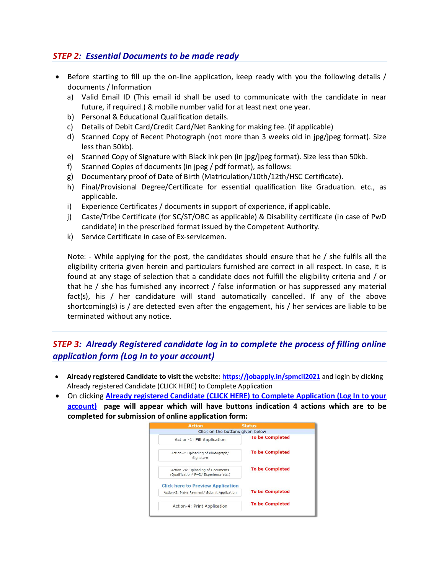# *STEP 2: Essential Documents to be made ready*

- Before starting to fill up the on-line application, keep ready with you the following details / documents / Information
	- a) Valid Email ID (This email id shall be used to communicate with the candidate in near future, if required.) & mobile number valid for at least next one year.
	- b) Personal & Educational Qualification details.
	- c) Details of Debit Card/Credit Card/Net Banking for making fee. (if applicable)
	- d) Scanned Copy of Recent Photograph (not more than 3 weeks old in jpg/jpeg format). Size less than 50kb).
	- e) Scanned Copy of Signature with Black ink pen (in jpg/jpeg format). Size less than 50kb.
	- f) Scanned Copies of documents (in jpeg / pdf format), as follows:
	- g) Documentary proof of Date of Birth (Matriculation/10th/12th/HSC Certificate).
	- h) Final/Provisional Degree/Certificate for essential qualification like Graduation. etc., as applicable.
	- i) Experience Certificates / documents in support of experience, if applicable.
	- j) Caste/Tribe Certificate (for SC/ST/OBC as applicable) & Disability certificate (in case of PwD candidate) in the prescribed format issued by the Competent Authority.
	- k) Service Certificate in case of Ex-servicemen.

Note: - While applying for the post, the candidates should ensure that he / she fulfils all the eligibility criteria given herein and particulars furnished are correct in all respect. In case, it is found at any stage of selection that a candidate does not fulfill the eligibility criteria and / or that he / she has furnished any incorrect / false information or has suppressed any material fact(s), his / her candidature will stand automatically cancelled. If any of the above shortcoming(s) is / are detected even after the engagement, his / her services are liable to be terminated without any notice.

# *STEP 3: Already Registered candidate log in to complete the process of filling online application form (Log In to your account)*

- **Already registered Candidate to visit the** website: **https://jobapply.in/spmcil2021** and login by clicking Already registered Candidate (CLICK HERE) to Complete Application
- On clicking **Already registered Candidate (CLICK HERE) to Complete Application (Log In to your account) page will appear which will have buttons indication 4 actions which are to be completed for submission of online application form:**

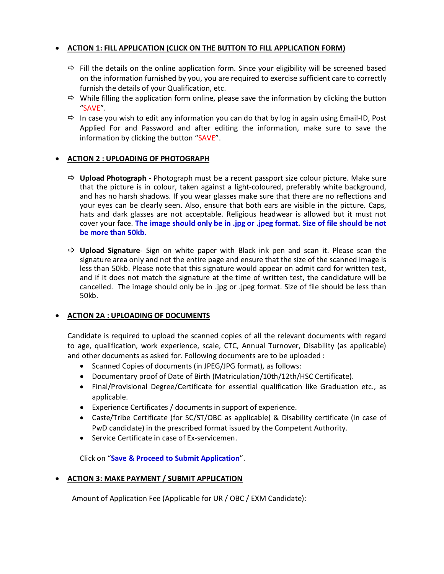## **ACTION 1: FILL APPLICATION (CLICK ON THE BUTTON TO FILL APPLICATION FORM)**

- $\Rightarrow$  Fill the details on the online application form. Since your eligibility will be screened based on the information furnished by you, you are required to exercise sufficient care to correctly furnish the details of your Qualification, etc.
- $\Rightarrow$  While filling the application form online, please save the information by clicking the button "SAVE".
- $\Rightarrow$  In case you wish to edit any information you can do that by log in again using Email-ID, Post Applied For and Password and after editing the information, make sure to save the information by clicking the button "SAVE".

### **ACTION 2 : UPLOADING OF PHOTOGRAPH**

- **Upload Photograph** Photograph must be a recent passport size colour picture. Make sure that the picture is in colour, taken against a light-coloured, preferably white background, and has no harsh shadows. If you wear glasses make sure that there are no reflections and your eyes can be clearly seen. Also, ensure that both ears are visible in the picture. Caps, hats and dark glasses are not acceptable. Religious headwear is allowed but it must not cover your face. **The image should only be in .jpg or .jpeg format. Size of file should be not be more than 50kb.**
- **Upload Signature** Sign on white paper with Black ink pen and scan it. Please scan the signature area only and not the entire page and ensure that the size of the scanned image is less than 50kb. Please note that this signature would appear on admit card for written test, and if it does not match the signature at the time of written test, the candidature will be cancelled. The image should only be in .jpg or .jpeg format. Size of file should be less than 50kb.

#### **ACTION 2A : UPLOADING OF DOCUMENTS**

Candidate is required to upload the scanned copies of all the relevant documents with regard to age, qualification, work experience, scale, CTC, Annual Turnover, Disability (as applicable) and other documents as asked for. Following documents are to be uploaded :

- Scanned Copies of documents (in JPEG/JPG format), as follows:
- Documentary proof of Date of Birth (Matriculation/10th/12th/HSC Certificate).
- Final/Provisional Degree/Certificate for essential qualification like Graduation etc., as applicable.
- Experience Certificates / documents in support of experience.
- Caste/Tribe Certificate (for SC/ST/OBC as applicable) & Disability certificate (in case of PwD candidate) in the prescribed format issued by the Competent Authority.
- Service Certificate in case of Ex-servicemen.

Click on "**Save & Proceed to Submit Application**".

## **ACTION 3: MAKE PAYMENT / SUBMIT APPLICATION**

Amount of Application Fee (Applicable for UR / OBC / EXM Candidate):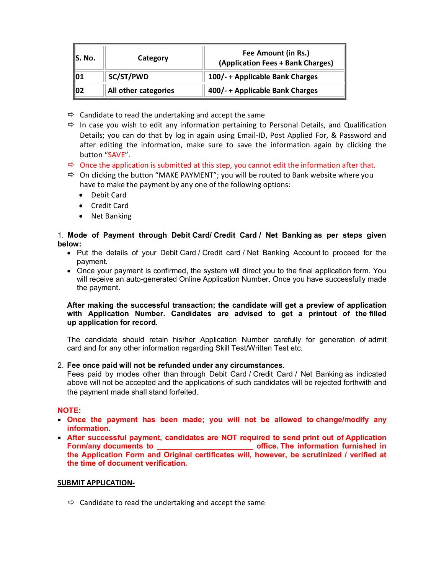| S. No. | Category             | Fee Amount (in Rs.)<br>(Application Fees + Bank Charges) |
|--------|----------------------|----------------------------------------------------------|
| 101    | SC/ST/PWD            | 100/- + Applicable Bank Charges                          |
| 102    | All other categories | 400/- + Applicable Bank Charges                          |

- $\Rightarrow$  Candidate to read the undertaking and accept the same
- $\Rightarrow$  In case you wish to edit any information pertaining to Personal Details, and Qualification Details; you can do that by log in again using Email-ID, Post Applied For, & Password and after editing the information, make sure to save the information again by clicking the button "SAVE".
- $\Rightarrow$  Once the application is submitted at this step, you cannot edit the information after that.
- $\Rightarrow$  On clicking the button "MAKE PAYMENT"; you will be routed to Bank website where you have to make the payment by any one of the following options:
	- Debit Card
	- Credit Card
	- Net Banking

### 1. **Mode of Payment through Debit Card/ Credit Card / Net Banking as per steps given below:**

- Put the details of your Debit Card / Credit card / Net Banking Account to proceed for the payment.
- Once your payment is confirmed, the system will direct you to the final application form. You will receive an auto-generated Online Application Number. Once you have successfully made the payment.

#### **After making the successful transaction; the candidate will get a preview of application with Application Number. Candidates are advised to get a printout of the filled up application for record.**

The candidate should retain his/her Application Number carefully for generation of admit card and for any other information regarding Skill Test/Written Test etc.

#### 2. **Fee once paid will not be refunded under any circumstances**.

Fees paid by modes other than through Debit Card / Credit Card / Net Banking as indicated above will not be accepted and the applications of such candidates will be rejected forthwith and the payment made shall stand forfeited.

#### **NOTE:**

- **Once the payment has been made; you will not be allowed to change/modify any information.**
- **After successful payment, candidates are NOT required to send print out of Application Form/any documents to \_\_\_\_\_\_\_\_\_\_\_\_\_\_\_\_\_\_\_\_\_\_\_ office. The information furnished in the Application Form and Original certificates will, however, be scrutinized / verified at the time of document verification.**

#### **SUBMIT APPLICATION-**

 $\Rightarrow$  Candidate to read the undertaking and accept the same